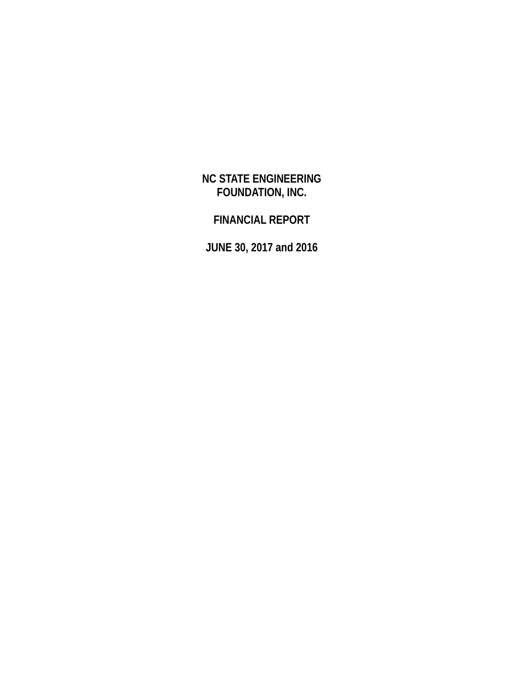# **NC STATE ENGINEERING FOUNDATION, INC.**

# **FINANCIAL REPORT**

**JUNE 30, 2017 and 2016**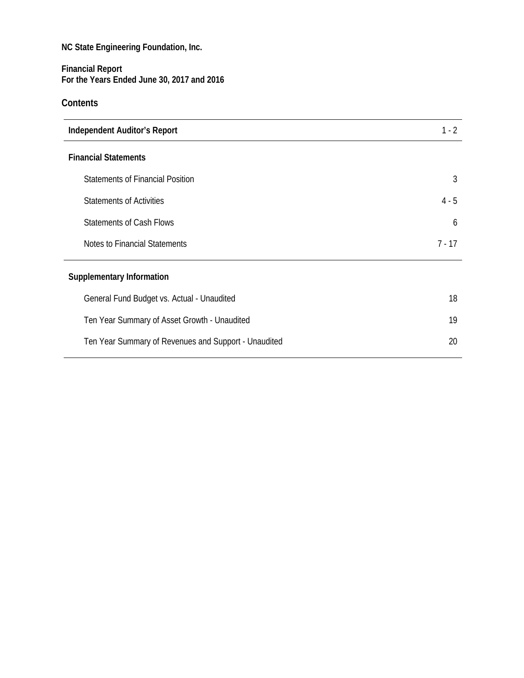### **Financial Report For the Years Ended June 30, 2017 and 2016**

## **Contents**

| <b>Independent Auditor's Report</b>                  | $1 - 2$  |
|------------------------------------------------------|----------|
| <b>Financial Statements</b>                          |          |
| <b>Statements of Financial Position</b>              | 3        |
| <b>Statements of Activities</b>                      | $4 - 5$  |
| <b>Statements of Cash Flows</b>                      | 6        |
| Notes to Financial Statements                        | $7 - 17$ |
| <b>Supplementary Information</b>                     |          |
| General Fund Budget vs. Actual - Unaudited           | 18       |
| Ten Year Summary of Asset Growth - Unaudited         | 19       |
| Ten Year Summary of Revenues and Support - Unaudited | 20       |
|                                                      |          |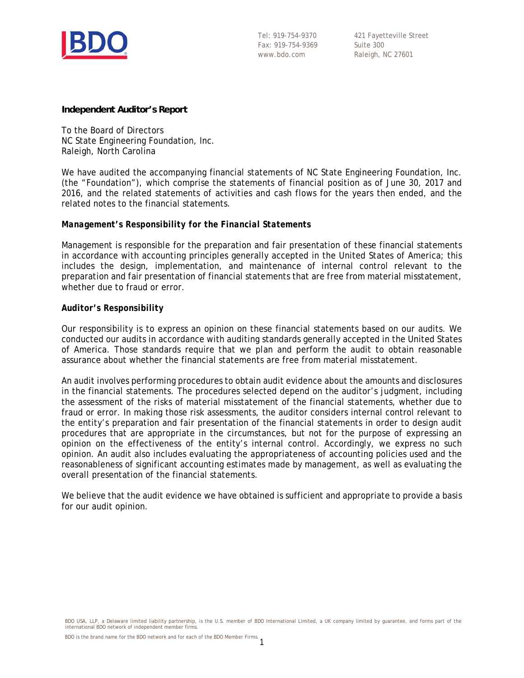

421 Fayetteville Street Suite 300 Raleigh, NC 27601

#### **Independent Auditor's Report**

To the Board of Directors NC State Engineering Foundation, Inc. Raleigh, North Carolina

We have audited the accompanying financial statements of NC State Engineering Foundation, Inc. (the "Foundation"), which comprise the statements of financial position as of June 30, 2017 and 2016, and the related statements of activities and cash flows for the years then ended, and the related notes to the financial statements.

#### *Management's Responsibility for the Financial Statements*

Management is responsible for the preparation and fair presentation of these financial statements in accordance with accounting principles generally accepted in the United States of America; this includes the design, implementation, and maintenance of internal control relevant to the preparation and fair presentation of financial statements that are free from material misstatement, whether due to fraud or error.

### *Auditor's Responsibility*

Our responsibility is to express an opinion on these financial statements based on our audits. We conducted our audits in accordance with auditing standards generally accepted in the United States of America. Those standards require that we plan and perform the audit to obtain reasonable assurance about whether the financial statements are free from material misstatement.

An audit involves performing procedures to obtain audit evidence about the amounts and disclosures in the financial statements. The procedures selected depend on the auditor's judgment, including the assessment of the risks of material misstatement of the financial statements, whether due to fraud or error. In making those risk assessments, the auditor considers internal control relevant to the entity's preparation and fair presentation of the financial statements in order to design audit procedures that are appropriate in the circumstances, but not for the purpose of expressing an opinion on the effectiveness of the entity's internal control. Accordingly, we express no such opinion. An audit also includes evaluating the appropriateness of accounting policies used and the reasonableness of significant accounting estimates made by management, as well as evaluating the overall presentation of the financial statements.

We believe that the audit evidence we have obtained is sufficient and appropriate to provide a basis for our audit opinion.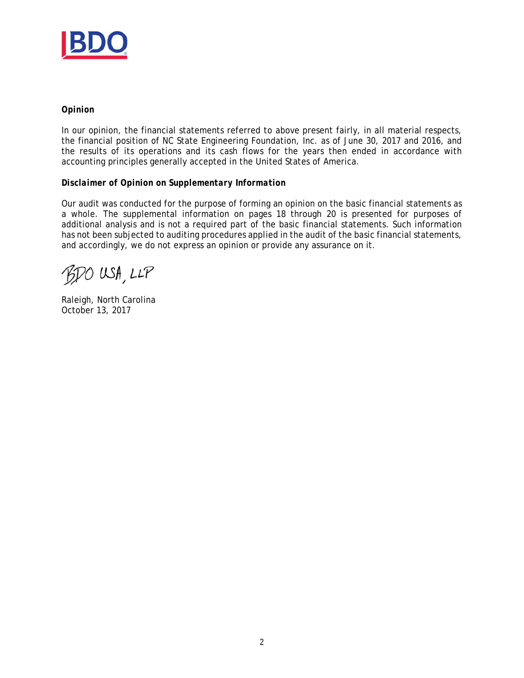

#### *Opinion*

In our opinion, the financial statements referred to above present fairly, in all material respects, the financial position of NC State Engineering Foundation, Inc. as of June 30, 2017 and 2016, and the results of its operations and its cash flows for the years then ended in accordance with accounting principles generally accepted in the United States of America.

#### *Disclaimer of Opinion on Supplementary Information*

Our audit was conducted for the purpose of forming an opinion on the basic financial statements as a whole. The supplemental information on pages 18 through 20 is presented for purposes of additional analysis and is not a required part of the basic financial statements. Such information has not been subjected to auditing procedures applied in the audit of the basic financial statements, and accordingly, we do not express an opinion or provide any assurance on it.

BDO USA, LLP

Raleigh, North Carolina October 13, 2017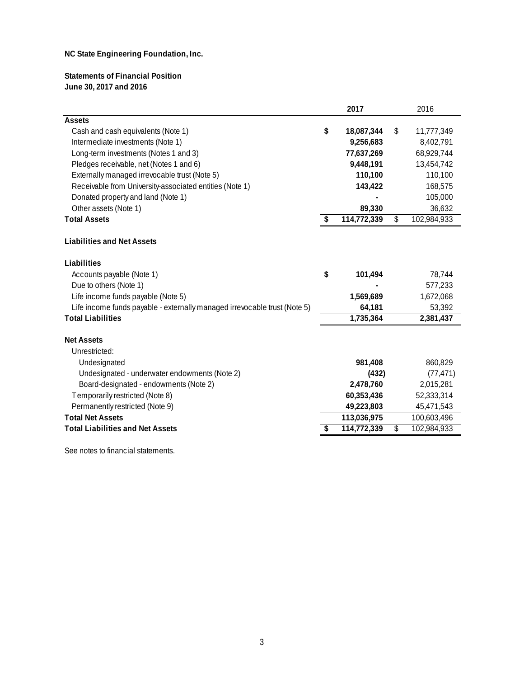**Statements of Financial Position June 30, 2017 and 2016**

|                                                                           | 2017              | 2016              |
|---------------------------------------------------------------------------|-------------------|-------------------|
| <b>Assets</b>                                                             |                   |                   |
| Cash and cash equivalents (Note 1)                                        | \$<br>18,087,344  | \$<br>11,777,349  |
| Intermediate investments (Note 1)                                         | 9,256,683         | 8,402,791         |
| Long-term investments (Notes 1 and 3)                                     | 77,637,269        | 68,929,744        |
| Pledges receivable, net (Notes 1 and 6)                                   | 9,448,191         | 13,454,742        |
| Externally managed irrevocable trust (Note 5)                             | 110,100           | 110,100           |
| Receivable from University-associated entities (Note 1)                   | 143,422           | 168,575           |
| Donated property and land (Note 1)                                        |                   | 105,000           |
| Other assets (Note 1)                                                     | 89,330            | 36,632            |
| <b>Total Assets</b>                                                       | \$<br>114,772,339 | \$<br>102,984,933 |
| <b>Liabilities and Net Assets</b>                                         |                   |                   |
| Liabilities                                                               |                   |                   |
| Accounts payable (Note 1)                                                 | \$<br>101,494     | 78,744            |
| Due to others (Note 1)                                                    |                   | 577,233           |
| Life income funds payable (Note 5)                                        | 1,569,689         | 1,672,068         |
| Life income funds payable - externally managed irrevocable trust (Note 5) | 64,181            | 53,392            |
| <b>Total Liabilities</b>                                                  | 1,735,364         | 2,381,437         |
| <b>Net Assets</b><br>Unrestricted:                                        |                   |                   |
| Undesignated                                                              | 981,408           | 860,829           |
| Undesignated - underwater endowments (Note 2)                             | (432)             | (77, 471)         |
| Board-designated - endowments (Note 2)                                    | 2,478,760         | 2,015,281         |
| Temporarily restricted (Note 8)                                           | 60,353,436        | 52,333,314        |
| Permanently restricted (Note 9)                                           | 49,223,803        | 45,471,543        |
| <b>Total Net Assets</b>                                                   | 113,036,975       | 100,603,496       |
| <b>Total Liabilities and Net Assets</b>                                   | \$<br>114,772,339 | \$<br>102,984,933 |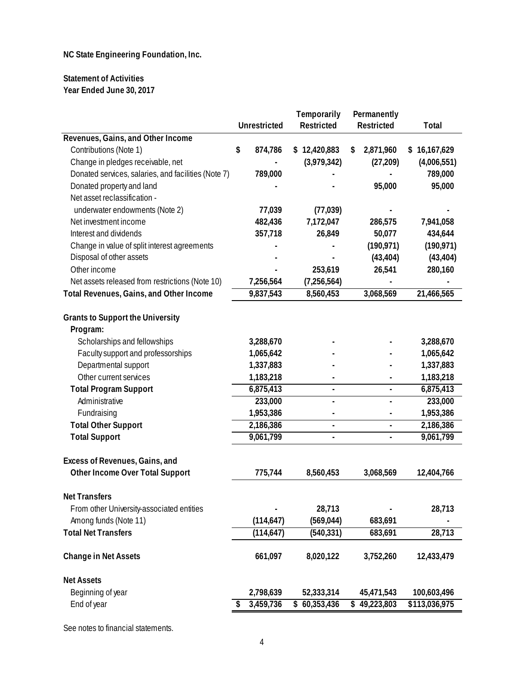### **Statement of Activities Year Ended June 30, 2017**

|                                                     |                     | Temporarily              | Permanently              |               |
|-----------------------------------------------------|---------------------|--------------------------|--------------------------|---------------|
|                                                     | <b>Unrestricted</b> | Restricted               | Restricted               | Total         |
| Revenues, Gains, and Other Income                   |                     |                          |                          |               |
| Contributions (Note 1)                              | \$<br>874,786       | \$12,420,883             | \$<br>2,871,960          | \$16,167,629  |
| Change in pledges receivable, net                   |                     | (3,979,342)              | (27, 209)                | (4,006,551)   |
| Donated services, salaries, and facilities (Note 7) | 789,000             |                          |                          | 789,000       |
| Donated property and land                           |                     |                          | 95,000                   | 95,000        |
| Net asset reclassification -                        |                     |                          |                          |               |
| underwater endowments (Note 2)                      | 77,039              | (77, 039)                |                          |               |
| Net investment income                               | 482,436             | 7,172,047                | 286,575                  | 7,941,058     |
| Interest and dividends                              | 357,718             | 26,849                   | 50,077                   | 434,644       |
| Change in value of split interest agreements        |                     |                          | (190, 971)               | (190, 971)    |
| Disposal of other assets                            |                     |                          | (43, 404)                | (43, 404)     |
| Other income                                        |                     | 253,619                  | 26,541                   | 280,160       |
| Net assets released from restrictions (Note 10)     | 7,256,564           | (7,256,564)              |                          |               |
| Total Revenues, Gains, and Other Income             | 9,837,543           | 8,560,453                | 3,068,569                | 21,466,565    |
|                                                     |                     |                          |                          |               |
| <b>Grants to Support the University</b>             |                     |                          |                          |               |
| Program:                                            |                     |                          |                          |               |
| Scholarships and fellowships                        | 3,288,670           |                          |                          | 3,288,670     |
| Faculty support and professorships                  | 1,065,642           |                          |                          | 1,065,642     |
| Departmental support                                | 1,337,883           |                          |                          | 1,337,883     |
| Other current services                              | 1,183,218           |                          |                          | 1,183,218     |
| <b>Total Program Support</b>                        | 6,875,413           | $\blacksquare$           | $\blacksquare$           | 6,875,413     |
| Administrative                                      | 233,000             | $\overline{\phantom{a}}$ | $\overline{\phantom{0}}$ | 233,000       |
| Fundraising                                         | 1,953,386           |                          |                          | 1,953,386     |
| <b>Total Other Support</b>                          | 2,186,386           | $\blacksquare$           | $\blacksquare$           | 2,186,386     |
| <b>Total Support</b>                                | 9,061,799           | $\blacksquare$           | $\overline{\phantom{0}}$ | 9,061,799     |
|                                                     |                     |                          |                          |               |
| Excess of Revenues, Gains, and                      |                     |                          |                          |               |
| Other Income Over Total Support                     | 775,744             | 8,560,453                | 3,068,569                | 12,404,766    |
| <b>Net Transfers</b>                                |                     |                          |                          |               |
| From other University-associated entities           |                     | 28,713                   |                          | 28,713        |
| Among funds (Note 11)                               | (114, 647)          | (569, 044)               | 683,691                  |               |
| <b>Total Net Transfers</b>                          | (114, 647)          | (540, 331)               | 683,691                  | 28,713        |
|                                                     |                     |                          |                          |               |
| <b>Change in Net Assets</b>                         | 661,097             | 8,020,122                | 3,752,260                | 12,433,479    |
| <b>Net Assets</b>                                   |                     |                          |                          |               |
| Beginning of year                                   | 2,798,639           | 52,333,314               | 45,471,543               | 100,603,496   |
| End of year                                         | 3,459,736           | 60,353,436               | \$49,223,803             | \$113,036,975 |
|                                                     |                     |                          |                          |               |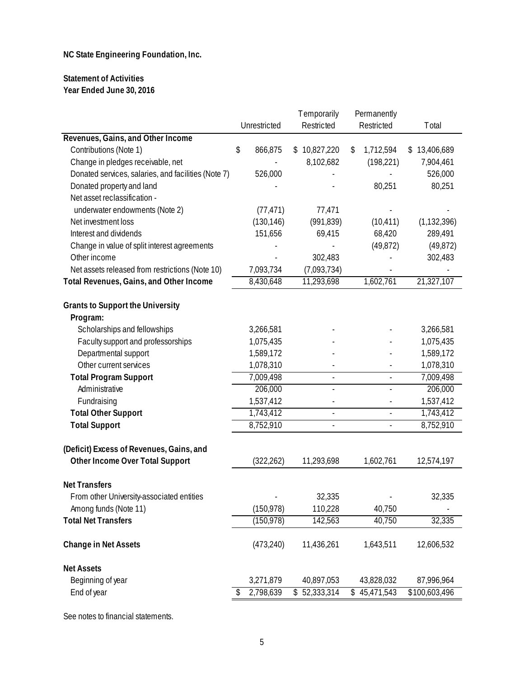### **Statement of Activities Year Ended June 30, 2016**

|                                                     |               | Temporarily  | Permanently              |               |
|-----------------------------------------------------|---------------|--------------|--------------------------|---------------|
|                                                     | Unrestricted  | Restricted   | Restricted               | Total         |
| Revenues, Gains, and Other Income                   |               |              |                          |               |
| Contributions (Note 1)                              | \$<br>866,875 | \$10,827,220 | \$<br>1,712,594          | \$13,406,689  |
| Change in pledges receivable, net                   |               | 8,102,682    | (198, 221)               | 7,904,461     |
| Donated services, salaries, and facilities (Note 7) | 526,000       |              |                          | 526,000       |
| Donated property and land                           |               |              | 80,251                   | 80,251        |
| Net asset reclassification -                        |               |              |                          |               |
| underwater endowments (Note 2)                      | (77, 471)     | 77,471       |                          |               |
| Net investment loss                                 | (130, 146)    | (991, 839)   | (10, 411)                | (1, 132, 396) |
| Interest and dividends                              | 151,656       | 69,415       | 68,420                   | 289,491       |
| Change in value of split interest agreements        |               |              | (49, 872)                | (49, 872)     |
| Other income                                        |               | 302,483      |                          | 302,483       |
| Net assets released from restrictions (Note 10)     | 7,093,734     | (7,093,734)  |                          |               |
| Total Revenues, Gains, and Other Income             | 8,430,648     | 11,293,698   | 1,602,761                | 21,327,107    |
| <b>Grants to Support the University</b>             |               |              |                          |               |
| Program:                                            |               |              |                          |               |
| Scholarships and fellowships                        | 3,266,581     |              |                          | 3,266,581     |
| Faculty support and professorships                  | 1,075,435     |              |                          | 1,075,435     |
| Departmental support                                | 1,589,172     |              |                          | 1,589,172     |
| Other current services                              | 1,078,310     |              |                          | 1,078,310     |
| <b>Total Program Support</b>                        | 7,009,498     | L,           | ä,                       | 7,009,498     |
| Administrative                                      | 206,000       | ÷,           | $\blacksquare$           | 206,000       |
| Fundraising                                         | 1,537,412     |              |                          | 1,537,412     |
| <b>Total Other Support</b>                          | 1,743,412     | ÷,           | $\overline{a}$           | 1,743,412     |
| <b>Total Support</b>                                | 8,752,910     | ÷,           | $\overline{\phantom{a}}$ | 8,752,910     |
| (Deficit) Excess of Revenues, Gains, and            |               |              |                          |               |
| Other Income Over Total Support                     | (322, 262)    | 11,293,698   | 1,602,761                | 12,574,197    |
| <b>Net Transfers</b>                                |               |              |                          |               |
| From other University-associated entities           |               | 32,335       | $\blacksquare$           | 32,335        |
| Among funds (Note 11)                               | (150, 978)    | 110,228      | 40,750                   |               |
| <b>Total Net Transfers</b>                          | (150, 978)    | 142,563      | 40,750                   | 32,335        |
|                                                     |               |              |                          |               |
| <b>Change in Net Assets</b>                         | (473, 240)    | 11,436,261   | 1,643,511                | 12,606,532    |
| <b>Net Assets</b>                                   |               |              |                          |               |
| Beginning of year                                   | 3,271,879     | 40,897,053   | 43,828,032               | 87,996,964    |
| End of year                                         | 2,798,639     | \$52,333,314 | \$45,471,543             | \$100,603,496 |
|                                                     |               |              |                          |               |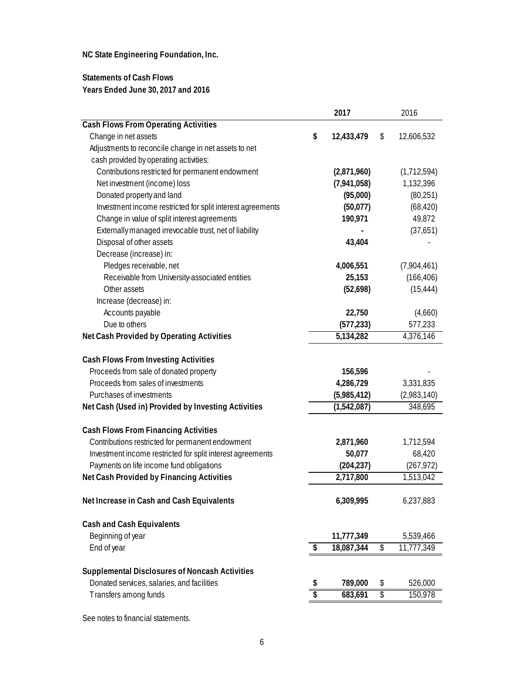### **Statements of Cash Flows Years Ended June 30, 2017 and 2016**

|                                                            |                 | 2017        | 2016             |
|------------------------------------------------------------|-----------------|-------------|------------------|
| <b>Cash Flows From Operating Activities</b>                |                 |             |                  |
| Change in net assets                                       | \$              | 12,433,479  | \$<br>12,606,532 |
| Adjustments to reconcile change in net assets to net       |                 |             |                  |
| cash provided by operating activities:                     |                 |             |                  |
| Contributions restricted for permanent endowment           |                 | (2,871,960) | (1,712,594)      |
| Net investment (income) loss                               |                 | (7,941,058) | 1,132,396        |
| Donated property and land                                  |                 | (95,000)    | (80, 251)        |
| Investment income restricted for split interest agreements |                 | (50,077)    | (68, 420)        |
| Change in value of split interest agreements               |                 | 190,971     | 49,872           |
| Externally managed irrevocable trust, net of liability     |                 |             | (37,651)         |
| Disposal of other assets                                   |                 | 43,404      |                  |
| Decrease (increase) in:                                    |                 |             |                  |
| Pledges receivable, net                                    |                 | 4,006,551   | (7,904,461)      |
| Receivable from University-associated entities             |                 | 25,153      | (166, 406)       |
| Other assets                                               |                 | (52,698)    | (15, 444)        |
| Increase (decrease) in:                                    |                 |             |                  |
| Accounts payable                                           |                 | 22,750      | (4,660)          |
| Due to others                                              |                 | (577, 233)  | 577,233          |
| Net Cash Provided by Operating Activities                  |                 | 5,134,282   | 4,376,146        |
|                                                            |                 |             |                  |
| <b>Cash Flows From Investing Activities</b>                |                 |             |                  |
| Proceeds from sale of donated property                     |                 | 156,596     |                  |
| Proceeds from sales of investments                         |                 | 4,286,729   | 3,331,835        |
| Purchases of investments                                   |                 | (5,985,412) | (2,983,140)      |
| Net Cash (Used in) Provided by Investing Activities        |                 | (1,542,087) | 348,695          |
|                                                            |                 |             |                  |
| <b>Cash Flows From Financing Activities</b>                |                 |             |                  |
| Contributions restricted for permanent endowment           |                 | 2,871,960   | 1,712,594        |
| Investment income restricted for split interest agreements |                 | 50,077      | 68,420           |
| Payments on life income fund obligations                   |                 | (204, 237)  | (267, 972)       |
| Net Cash Provided by Financing Activities                  |                 | 2,717,800   | 1,513,042        |
|                                                            |                 |             |                  |
| Net Increase in Cash and Cash Equivalents                  |                 | 6,309,995   | 6,237,883        |
|                                                            |                 |             |                  |
| Cash and Cash Equivalents                                  |                 |             |                  |
| Beginning of year                                          |                 | 11,777,349  | 5,539,466        |
| End of year                                                | \$              | 18,087,344  | \$<br>11,777,349 |
|                                                            |                 |             |                  |
| <b>Supplemental Disclosures of Noncash Activities</b>      |                 |             |                  |
| Donated services, salaries, and facilities                 | \$              | 789,000     | \$<br>526,000    |
| Transfers among funds                                      | $\overline{\$}$ | 683,691     | \$<br>150,978    |
|                                                            |                 |             |                  |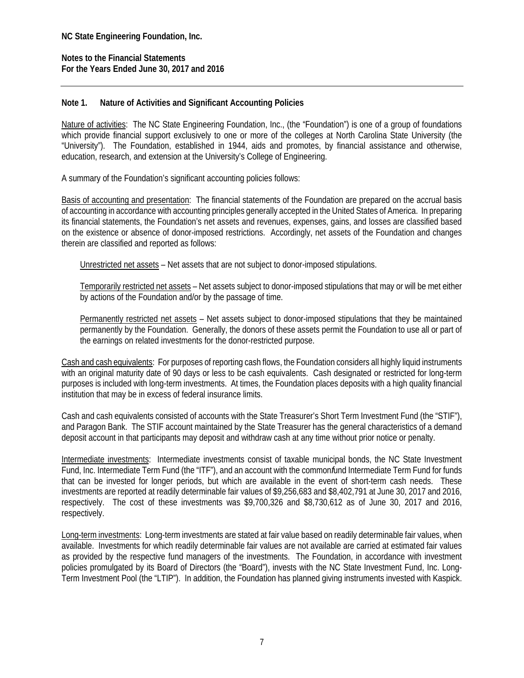**Notes to the Financial Statements For the Years Ended June 30, 2017 and 2016** 

### **Note 1. Nature of Activities and Significant Accounting Policies**

Nature of activities: The NC State Engineering Foundation, Inc., (the "Foundation") is one of a group of foundations which provide financial support exclusively to one or more of the colleges at North Carolina State University (the "University"). The Foundation, established in 1944, aids and promotes, by financial assistance and otherwise, education, research, and extension at the University's College of Engineering.

A summary of the Foundation's significant accounting policies follows:

Basis of accounting and presentation: The financial statements of the Foundation are prepared on the accrual basis of accounting in accordance with accounting principles generally accepted in the United States of America. In preparing its financial statements, the Foundation's net assets and revenues, expenses, gains, and losses are classified based on the existence or absence of donor-imposed restrictions. Accordingly, net assets of the Foundation and changes therein are classified and reported as follows:

Unrestricted net assets – Net assets that are not subject to donor-imposed stipulations.

Temporarily restricted net assets – Net assets subject to donor-imposed stipulations that may or will be met either by actions of the Foundation and/or by the passage of time.

Permanently restricted net assets – Net assets subject to donor-imposed stipulations that they be maintained permanently by the Foundation. Generally, the donors of these assets permit the Foundation to use all or part of the earnings on related investments for the donor-restricted purpose.

Cash and cash equivalents: For purposes of reporting cash flows, the Foundation considers all highly liquid instruments with an original maturity date of 90 days or less to be cash equivalents. Cash designated or restricted for long-term purposes is included with long-term investments. At times, the Foundation places deposits with a high quality financial institution that may be in excess of federal insurance limits.

Cash and cash equivalents consisted of accounts with the State Treasurer's Short Term Investment Fund (the "STIF"), and Paragon Bank. The STIF account maintained by the State Treasurer has the general characteristics of a demand deposit account in that participants may deposit and withdraw cash at any time without prior notice or penalty.

Intermediate investments: Intermediate investments consist of taxable municipal bonds, the NC State Investment Fund, Inc. Intermediate Term Fund (the "ITF"), and an account with the common*f*und Intermediate Term Fund for funds that can be invested for longer periods, but which are available in the event of short-term cash needs. These investments are reported at readily determinable fair values of \$9,256,683 and \$8,402,791 at June 30, 2017 and 2016, respectively. The cost of these investments was \$9,700,326 and \$8,730,612 as of June 30, 2017 and 2016, respectively.

Long-term investments: Long-term investments are stated at fair value based on readily determinable fair values, when available. Investments for which readily determinable fair values are not available are carried at estimated fair values as provided by the respective fund managers of the investments. The Foundation, in accordance with investment policies promulgated by its Board of Directors (the "Board"), invests with the NC State Investment Fund, Inc. Long-Term Investment Pool (the "LTIP"). In addition, the Foundation has planned giving instruments invested with Kaspick.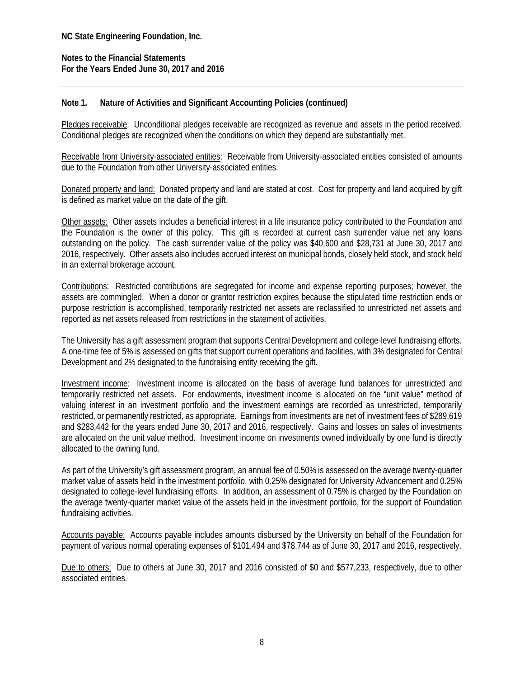### **Note 1. Nature of Activities and Significant Accounting Policies (continued)**

Pledges receivable: Unconditional pledges receivable are recognized as revenue and assets in the period received. Conditional pledges are recognized when the conditions on which they depend are substantially met.

Receivable from University-associated entities: Receivable from University-associated entities consisted of amounts due to the Foundation from other University-associated entities.

Donated property and land: Donated property and land are stated at cost. Cost for property and land acquired by gift is defined as market value on the date of the gift.

Other assets: Other assets includes a beneficial interest in a life insurance policy contributed to the Foundation and the Foundation is the owner of this policy. This gift is recorded at current cash surrender value net any loans outstanding on the policy. The cash surrender value of the policy was \$40,600 and \$28,731 at June 30, 2017 and 2016, respectively. Other assets also includes accrued interest on municipal bonds, closely held stock, and stock held in an external brokerage account.

Contributions: Restricted contributions are segregated for income and expense reporting purposes; however, the assets are commingled. When a donor or grantor restriction expires because the stipulated time restriction ends or purpose restriction is accomplished, temporarily restricted net assets are reclassified to unrestricted net assets and reported as net assets released from restrictions in the statement of activities.

The University has a gift assessment program that supports Central Development and college-level fundraising efforts. A one-time fee of 5% is assessed on gifts that support current operations and facilities, with 3% designated for Central Development and 2% designated to the fundraising entity receiving the gift.

Investment income: Investment income is allocated on the basis of average fund balances for unrestricted and temporarily restricted net assets. For endowments, investment income is allocated on the "unit value" method of valuing interest in an investment portfolio and the investment earnings are recorded as unrestricted, temporarily restricted, or permanently restricted, as appropriate. Earnings from investments are net of investment fees of \$289,619 and \$283,442 for the years ended June 30, 2017 and 2016, respectively. Gains and losses on sales of investments are allocated on the unit value method. Investment income on investments owned individually by one fund is directly allocated to the owning fund.

As part of the University's gift assessment program, an annual fee of 0.50% is assessed on the average twenty-quarter market value of assets held in the investment portfolio, with 0.25% designated for University Advancement and 0.25% designated to college-level fundraising efforts. In addition, an assessment of 0.75% is charged by the Foundation on the average twenty-quarter market value of the assets held in the investment portfolio, for the support of Foundation fundraising activities.

Accounts payable: Accounts payable includes amounts disbursed by the University on behalf of the Foundation for payment of various normal operating expenses of \$101,494 and \$78,744 as of June 30, 2017 and 2016, respectively.

Due to others: Due to others at June 30, 2017 and 2016 consisted of \$0 and \$577,233, respectively, due to other associated entities.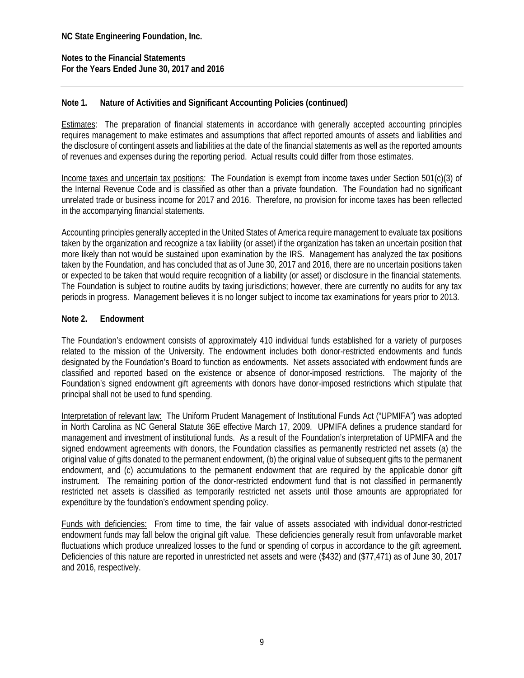### **Note 1. Nature of Activities and Significant Accounting Policies (continued)**

Estimates: The preparation of financial statements in accordance with generally accepted accounting principles requires management to make estimates and assumptions that affect reported amounts of assets and liabilities and the disclosure of contingent assets and liabilities at the date of the financial statements as well as the reported amounts of revenues and expenses during the reporting period. Actual results could differ from those estimates.

Income taxes and uncertain tax positions: The Foundation is exempt from income taxes under Section 501(c)(3) of the Internal Revenue Code and is classified as other than a private foundation. The Foundation had no significant unrelated trade or business income for 2017 and 2016. Therefore, no provision for income taxes has been reflected in the accompanying financial statements.

Accounting principles generally accepted in the United States of America require management to evaluate tax positions taken by the organization and recognize a tax liability (or asset) if the organization has taken an uncertain position that more likely than not would be sustained upon examination by the IRS. Management has analyzed the tax positions taken by the Foundation, and has concluded that as of June 30, 2017 and 2016, there are no uncertain positions taken or expected to be taken that would require recognition of a liability (or asset) or disclosure in the financial statements. The Foundation is subject to routine audits by taxing jurisdictions; however, there are currently no audits for any tax periods in progress. Management believes it is no longer subject to income tax examinations for years prior to 2013.

### **Note 2. Endowment**

The Foundation's endowment consists of approximately 410 individual funds established for a variety of purposes related to the mission of the University. The endowment includes both donor-restricted endowments and funds designated by the Foundation's Board to function as endowments. Net assets associated with endowment funds are classified and reported based on the existence or absence of donor-imposed restrictions. The majority of the Foundation's signed endowment gift agreements with donors have donor-imposed restrictions which stipulate that principal shall not be used to fund spending.

Interpretation of relevant law: The Uniform Prudent Management of Institutional Funds Act ("UPMIFA") was adopted in North Carolina as NC General Statute 36E effective March 17, 2009. UPMIFA defines a prudence standard for management and investment of institutional funds. As a result of the Foundation's interpretation of UPMIFA and the signed endowment agreements with donors, the Foundation classifies as permanently restricted net assets (a) the original value of gifts donated to the permanent endowment, (b) the original value of subsequent gifts to the permanent endowment, and (c) accumulations to the permanent endowment that are required by the applicable donor gift instrument. The remaining portion of the donor-restricted endowment fund that is not classified in permanently restricted net assets is classified as temporarily restricted net assets until those amounts are appropriated for expenditure by the foundation's endowment spending policy.

Funds with deficiencies: From time to time, the fair value of assets associated with individual donor-restricted endowment funds may fall below the original gift value. These deficiencies generally result from unfavorable market fluctuations which produce unrealized losses to the fund or spending of corpus in accordance to the gift agreement. Deficiencies of this nature are reported in unrestricted net assets and were (\$432) and (\$77,471) as of June 30, 2017 and 2016, respectively.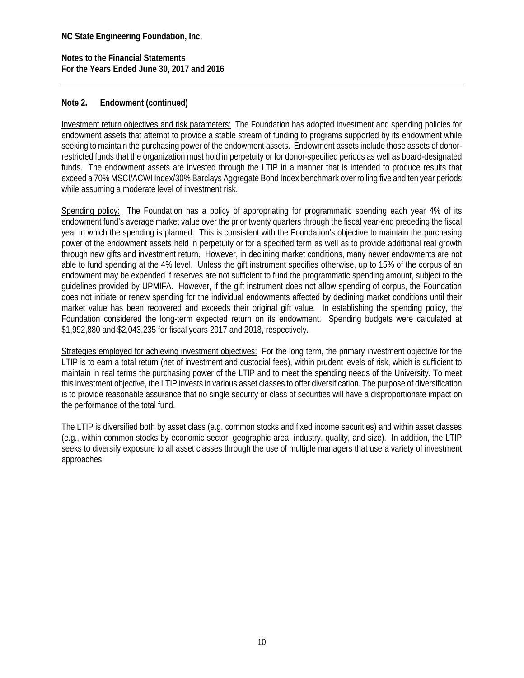**Notes to the Financial Statements For the Years Ended June 30, 2017 and 2016** 

### **Note 2. Endowment (continued)**

Investment return objectives and risk parameters: The Foundation has adopted investment and spending policies for endowment assets that attempt to provide a stable stream of funding to programs supported by its endowment while seeking to maintain the purchasing power of the endowment assets. Endowment assets include those assets of donorrestricted funds that the organization must hold in perpetuity or for donor-specified periods as well as board-designated funds. The endowment assets are invested through the LTIP in a manner that is intended to produce results that exceed a 70% MSCI/ACWI Index/30% Barclays Aggregate Bond Index benchmark over rolling five and ten year periods while assuming a moderate level of investment risk.

Spending policy: The Foundation has a policy of appropriating for programmatic spending each year 4% of its endowment fund's average market value over the prior twenty quarters through the fiscal year-end preceding the fiscal year in which the spending is planned. This is consistent with the Foundation's objective to maintain the purchasing power of the endowment assets held in perpetuity or for a specified term as well as to provide additional real growth through new gifts and investment return. However, in declining market conditions, many newer endowments are not able to fund spending at the 4% level. Unless the gift instrument specifies otherwise, up to 15% of the corpus of an endowment may be expended if reserves are not sufficient to fund the programmatic spending amount, subject to the guidelines provided by UPMIFA. However, if the gift instrument does not allow spending of corpus, the Foundation does not initiate or renew spending for the individual endowments affected by declining market conditions until their market value has been recovered and exceeds their original gift value. In establishing the spending policy, the Foundation considered the long-term expected return on its endowment. Spending budgets were calculated at \$1,992,880 and \$2,043,235 for fiscal years 2017 and 2018, respectively.

Strategies employed for achieving investment objectives: For the long term, the primary investment objective for the LTIP is to earn a total return (net of investment and custodial fees), within prudent levels of risk, which is sufficient to maintain in real terms the purchasing power of the LTIP and to meet the spending needs of the University. To meet this investment objective, the LTIP invests in various asset classes to offer diversification. The purpose of diversification is to provide reasonable assurance that no single security or class of securities will have a disproportionate impact on the performance of the total fund.

The LTIP is diversified both by asset class (e.g. common stocks and fixed income securities) and within asset classes (e.g., within common stocks by economic sector, geographic area, industry, quality, and size). In addition, the LTIP seeks to diversify exposure to all asset classes through the use of multiple managers that use a variety of investment approaches.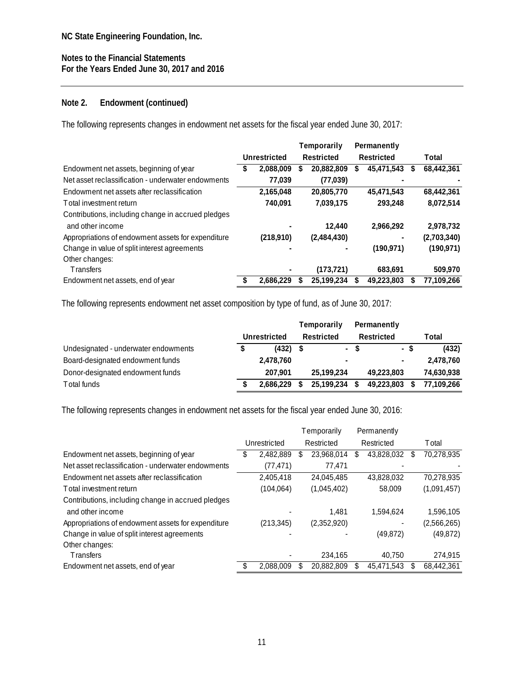## **Note 2. Endowment (continued)**

The following represents changes in endowment net assets for the fiscal year ended June 30, 2017:

|                                                    |              |           | Temporarily |             |                   | Permanently |   |             |
|----------------------------------------------------|--------------|-----------|-------------|-------------|-------------------|-------------|---|-------------|
|                                                    | Unrestricted |           | Restricted  |             | <b>Restricted</b> |             |   | Total       |
| Endowment net assets, beginning of year            |              | 2,088,009 | S           | 20,882,809  | S                 | 45,471,543  | S | 68,442,361  |
| Net asset reclassification - underwater endowments |              | 77,039    |             | (77, 039)   |                   |             |   |             |
| Endowment net assets after reclassification        |              | 2,165,048 |             | 20,805,770  |                   | 45,471,543  |   | 68,442,361  |
| Total investment return                            |              | 740.091   |             | 7.039.175   |                   | 293.248     |   | 8,072,514   |
| Contributions, including change in accrued pledges |              |           |             |             |                   |             |   |             |
| and other income                                   |              |           |             | 12,440      |                   | 2,966,292   |   | 2,978,732   |
| Appropriations of endowment assets for expenditure |              | (218,910) |             | (2,484,430) |                   |             |   | (2,703,340) |
| Change in value of split interest agreements       |              |           |             |             |                   | (190.971)   |   | (190, 971)  |
| Other changes:                                     |              |           |             |             |                   |             |   |             |
| <b>Transfers</b>                                   |              |           |             | (173,721)   |                   | 683.691     |   | 509,970     |
| Endowment net assets, end of year                  |              | 2.686.229 | S           | 25.199.234  |                   | 49.223.803  |   | 77.109.266  |

The following represents endowment net asset composition by type of fund, as of June 30, 2017:

|                                      |              | Temporarily              |      | Permanently    |            |
|--------------------------------------|--------------|--------------------------|------|----------------|------------|
|                                      | Unrestricted | Restricted               |      | Restricted     | Total      |
| Undesignated - underwater endowments | (432)        |                          | - \$ | - \$           | (432)      |
| Board-designated endowment funds     | 2,478,760    | $\overline{\phantom{0}}$ |      | $\blacksquare$ | 2,478,760  |
| Donor-designated endowment funds     | 207.901      | 25.199.234               |      | 49.223.803     | 74,630,938 |
| Total funds                          | 2.686.229    | 25,199,234               | - \$ | 49,223,803     | 77.109.266 |

The following represents changes in endowment net assets for the fiscal year ended June 30, 2016:

|                                                    |              | Temporarily |             | Permanently |            |                  |
|----------------------------------------------------|--------------|-------------|-------------|-------------|------------|------------------|
|                                                    | Unrestricted |             | Restricted  |             | Restricted | <b>T</b> otal    |
| Endowment net assets, beginning of year            | 2,482,889    |             | 23,968,014  | S           | 43,828,032 | \$<br>70,278,935 |
| Net asset reclassification - underwater endowments | (77, 471)    |             | 77.471      |             |            |                  |
| Endowment net assets after reclassification        | 2.405.418    |             | 24.045.485  |             | 43.828.032 | 70,278,935       |
| Total investment return                            | (104, 064)   |             | (1,045,402) |             | 58,009     | (1,091,457)      |
| Contributions, including change in accrued pledges |              |             |             |             |            |                  |
| and other income                                   |              |             | 1.481       |             | 1.594.624  | 1,596,105        |
| Appropriations of endowment assets for expenditure | (213, 345)   |             | (2,352,920) |             |            | (2,566,265)      |
| Change in value of split interest agreements       |              |             |             |             | (49, 872)  | (49, 872)        |
| Other changes:                                     |              |             |             |             |            |                  |
| <b>Transfers</b>                                   |              |             | 234,165     |             | 40,750     | 274.915          |
| Endowment net assets, end of year                  | 2.088.009    |             | 20,882,809  |             | 45,471,543 | 68,442,361       |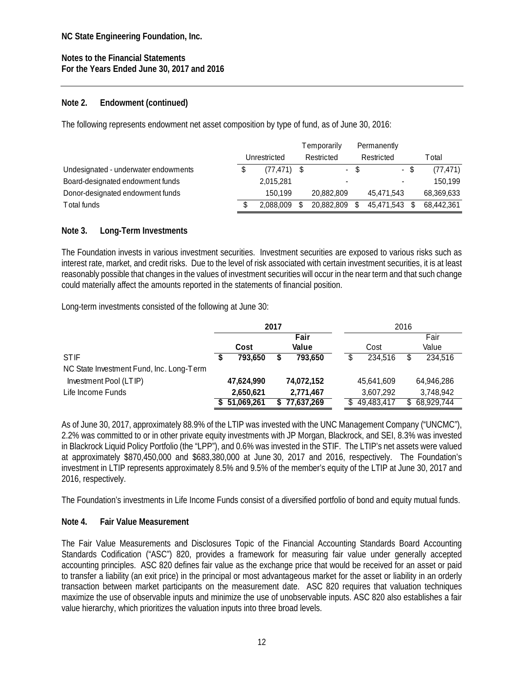### **Note 2. Endowment (continued)**

The following represents endowment net asset composition by type of fund, as of June 30, 2016:

|                                      |               | Temporarily |      | Permanently              |            |
|--------------------------------------|---------------|-------------|------|--------------------------|------------|
|                                      | Unrestricted  | Restricted  |      | Restricted               | T otal     |
| Undesignated - underwater endowments | $(77.471)$ \$ |             | $-5$ | - \$                     | (77, 471)  |
| Board-designated endowment funds     | 2,015,281     |             |      | $\overline{\phantom{a}}$ | 150.199    |
| Donor-designated endowment funds     | 150.199       | 20.882.809  |      | 45.471.543               | 68,369,633 |
| Total funds                          | 2.088.009     | 20,882,809  |      | 45.471.543               | 68,442,361 |

### **Note 3. Long-Term Investments**

The Foundation invests in various investment securities. Investment securities are exposed to various risks such as interest rate, market, and credit risks. Due to the level of risk associated with certain investment securities, it is at least reasonably possible that changes in the values of investment securities will occur in the near term and that such change could materially affect the amounts reported in the statements of financial position.

Long-term investments consisted of the following at June 30:

|                                          |      |            | 2017 |            |  |            | 2016 |            |
|------------------------------------------|------|------------|------|------------|--|------------|------|------------|
|                                          | Fair |            |      |            |  |            |      | Fair       |
|                                          |      | Cost       |      | Value      |  | Cost       |      | Value      |
| <b>STIF</b>                              |      | 793.650    |      | 793.650    |  | 234,516    |      | 234,516    |
| NC State Investment Fund, Inc. Long-Term |      |            |      |            |  |            |      |            |
| Investment Pool (LTIP)                   |      | 47,624,990 |      | 74,072,152 |  | 45,641,609 |      | 64.946.286 |
| Life Income Funds                        |      | 2,650,621  |      | 2,771,467  |  | 3,607,292  |      | 3,748,942  |
|                                          |      | 51.069.261 |      | 77,637,269 |  | 49,483,417 |      | 68,929,744 |

As of June 30, 2017, approximately 88.9% of the LTIP was invested with the UNC Management Company ("UNCMC"), 2.2% was committed to or in other private equity investments with JP Morgan, Blackrock, and SEI, 8.3% was invested in Blackrock Liquid Policy Portfolio (the "LPP"), and 0.6% was invested in the STIF. The LTIP's net assets were valued at approximately \$870,450,000 and \$683,380,000 at June 30, 2017 and 2016, respectively. The Foundation's investment in LTIP represents approximately 8.5% and 9.5% of the member's equity of the LTIP at June 30, 2017 and 2016, respectively.

The Foundation's investments in Life Income Funds consist of a diversified portfolio of bond and equity mutual funds.

### **Note 4. Fair Value Measurement**

The Fair Value Measurements and Disclosures Topic of the Financial Accounting Standards Board Accounting Standards Codification ("ASC") 820, provides a framework for measuring fair value under generally accepted accounting principles. ASC 820 defines fair value as the exchange price that would be received for an asset or paid to transfer a liability (an exit price) in the principal or most advantageous market for the asset or liability in an orderly transaction between market participants on the measurement date. ASC 820 requires that valuation techniques maximize the use of observable inputs and minimize the use of unobservable inputs. ASC 820 also establishes a fair value hierarchy, which prioritizes the valuation inputs into three broad levels.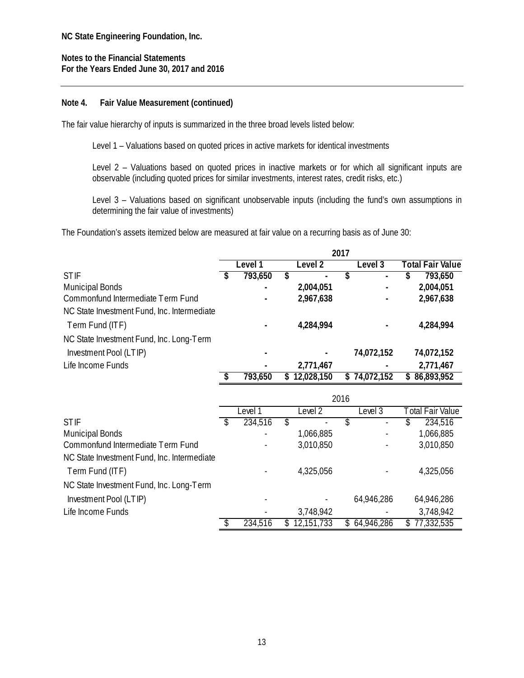### **Note 4. Fair Value Measurement (continued)**

The fair value hierarchy of inputs is summarized in the three broad levels listed below:

Level 1 – Valuations based on quoted prices in active markets for identical investments

Level 2 – Valuations based on quoted prices in inactive markets or for which all significant inputs are observable (including quoted prices for similar investments, interest rates, credit risks, etc.)

Level 3 – Valuations based on significant unobservable inputs (including the fund's own assumptions in determining the fair value of investments)

The Foundation's assets itemized below are measured at fair value on a recurring basis as of June 30:

|                                             | 2017 |         |         |            |    |            |                         |            |  |  |
|---------------------------------------------|------|---------|---------|------------|----|------------|-------------------------|------------|--|--|
|                                             |      | Level 1 | Level 2 |            |    | Level 3    | <b>Total Fair Value</b> |            |  |  |
| <b>STIF</b>                                 |      | 793,650 | S       |            |    | ٠          | C                       | 793,650    |  |  |
| <b>Municipal Bonds</b>                      |      |         |         | 2,004,051  |    |            |                         | 2,004,051  |  |  |
| Commonfund Intermediate Term Fund           |      |         |         | 2,967,638  |    |            |                         | 2,967,638  |  |  |
| NC State Investment Fund, Inc. Intermediate |      |         |         |            |    |            |                         |            |  |  |
| Term Fund (ITF)                             |      |         |         | 4,284,994  |    |            |                         | 4,284,994  |  |  |
| NC State Investment Fund, Inc. Long-Term    |      |         |         |            |    |            |                         |            |  |  |
| Investment Pool (LTIP)                      |      |         |         |            |    | 74,072,152 |                         | 74,072,152 |  |  |
| Life Income Funds                           |      |         |         | 2,771,467  |    |            |                         | 2,771,467  |  |  |
|                                             |      | 793,650 | S.      | 12,028,150 | S. | 74,072,152 | S                       | 86,893,952 |  |  |

|                                             | 2016 |         |    |            |  |              |                  |            |  |  |  |
|---------------------------------------------|------|---------|----|------------|--|--------------|------------------|------------|--|--|--|
|                                             |      | _evel 1 |    | Level 2    |  | Level 3      | Total Fair Value |            |  |  |  |
| <b>STIF</b>                                 |      | 234,516 | S  |            |  |              | S.               | 234,516    |  |  |  |
| <b>Municipal Bonds</b>                      |      |         |    | 1,066,885  |  |              |                  | 1,066,885  |  |  |  |
| Commonfund Intermediate Term Fund           |      |         |    | 3,010,850  |  |              |                  | 3,010,850  |  |  |  |
| NC State Investment Fund, Inc. Intermediate |      |         |    |            |  |              |                  |            |  |  |  |
| Term Fund (ITF)                             |      |         |    | 4,325,056  |  |              |                  | 4,325,056  |  |  |  |
| NC State Investment Fund, Inc. Long-Term    |      |         |    |            |  |              |                  |            |  |  |  |
| Investment Pool (LTIP)                      |      |         |    |            |  | 64,946,286   |                  | 64,946,286 |  |  |  |
| Life Income Funds                           |      |         |    | 3,748,942  |  |              |                  | 3,748,942  |  |  |  |
|                                             |      | 234,516 | S. | 12,151,733 |  | \$64,946,286 | S                | 77,332,535 |  |  |  |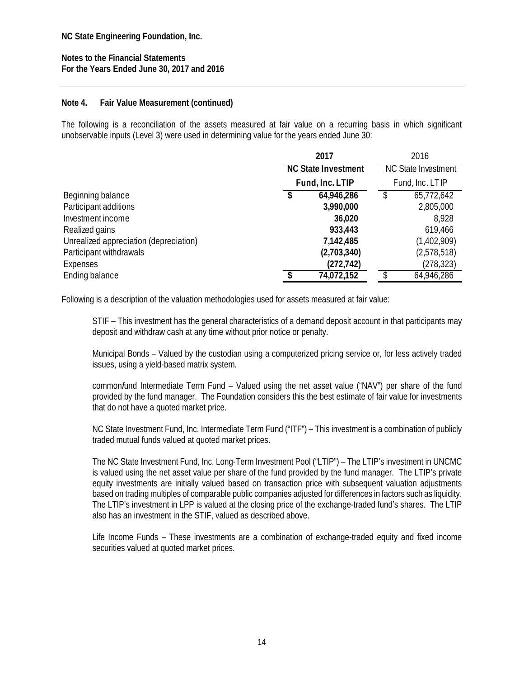### **Note 4. Fair Value Measurement (continued)**

The following is a reconciliation of the assets measured at fair value on a recurring basis in which significant unobservable inputs (Level 3) were used in determining value for the years ended June 30:

|                                        | 2017                       |  | 2016                       |  |  |  |
|----------------------------------------|----------------------------|--|----------------------------|--|--|--|
|                                        | <b>NC State Investment</b> |  | <b>NC State Investment</b> |  |  |  |
|                                        | Fund, Inc. LTIP            |  | Fund, Inc. LTIP            |  |  |  |
| Beginning balance                      | \$<br>64,946,286           |  | 65,772,642                 |  |  |  |
| Participant additions                  | 3,990,000                  |  | 2,805,000                  |  |  |  |
| Investment income                      | 36,020                     |  | 8,928                      |  |  |  |
| Realized gains                         | 933,443                    |  | 619,466                    |  |  |  |
| Unrealized appreciation (depreciation) | 7,142,485                  |  | (1,402,909)                |  |  |  |
| Participant withdrawals                | (2,703,340)                |  | (2,578,518)                |  |  |  |
| Expenses                               | (272, 742)                 |  | (278, 323)                 |  |  |  |
| Ending balance                         | 74,072,152                 |  | 64,946,286                 |  |  |  |

Following is a description of the valuation methodologies used for assets measured at fair value:

STIF – This investment has the general characteristics of a demand deposit account in that participants may deposit and withdraw cash at any time without prior notice or penalty.

Municipal Bonds – Valued by the custodian using a computerized pricing service or, for less actively traded issues, using a yield-based matrix system.

common*f*und Intermediate Term Fund – Valued using the net asset value ("NAV") per share of the fund provided by the fund manager. The Foundation considers this the best estimate of fair value for investments that do not have a quoted market price.

NC State Investment Fund, Inc. Intermediate Term Fund ("ITF") – This investment is a combination of publicly traded mutual funds valued at quoted market prices.

The NC State Investment Fund, Inc. Long-Term Investment Pool ("LTIP") – The LTIP's investment in UNCMC is valued using the net asset value per share of the fund provided by the fund manager. The LTIP's private equity investments are initially valued based on transaction price with subsequent valuation adjustments based on trading multiples of comparable public companies adjusted for differences in factors such as liquidity. The LTIP's investment in LPP is valued at the closing price of the exchange-traded fund's shares. The LTIP also has an investment in the STIF, valued as described above.

Life Income Funds – These investments are a combination of exchange-traded equity and fixed income securities valued at quoted market prices.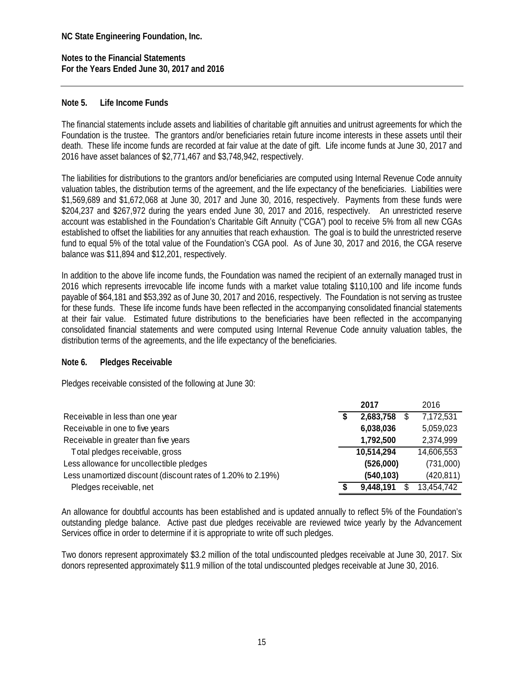**Notes to the Financial Statements For the Years Ended June 30, 2017 and 2016** 

### **Note 5. Life Income Funds**

The financial statements include assets and liabilities of charitable gift annuities and unitrust agreements for which the Foundation is the trustee. The grantors and/or beneficiaries retain future income interests in these assets until their death. These life income funds are recorded at fair value at the date of gift. Life income funds at June 30, 2017 and 2016 have asset balances of \$2,771,467 and \$3,748,942, respectively.

The liabilities for distributions to the grantors and/or beneficiaries are computed using Internal Revenue Code annuity valuation tables, the distribution terms of the agreement, and the life expectancy of the beneficiaries. Liabilities were \$1,569,689 and \$1,672,068 at June 30, 2017 and June 30, 2016, respectively. Payments from these funds were \$204,237 and \$267,972 during the years ended June 30, 2017 and 2016, respectively. An unrestricted reserve account was established in the Foundation's Charitable Gift Annuity ("CGA") pool to receive 5% from all new CGAs established to offset the liabilities for any annuities that reach exhaustion. The goal is to build the unrestricted reserve fund to equal 5% of the total value of the Foundation's CGA pool. As of June 30, 2017 and 2016, the CGA reserve balance was \$11,894 and \$12,201, respectively.

In addition to the above life income funds, the Foundation was named the recipient of an externally managed trust in 2016 which represents irrevocable life income funds with a market value totaling \$110,100 and life income funds payable of \$64,181 and \$53,392 as of June 30, 2017 and 2016, respectively. The Foundation is not serving as trustee for these funds. These life income funds have been reflected in the accompanying consolidated financial statements at their fair value. Estimated future distributions to the beneficiaries have been reflected in the accompanying consolidated financial statements and were computed using Internal Revenue Code annuity valuation tables, the distribution terms of the agreements, and the life expectancy of the beneficiaries.

#### **Note 6. Pledges Receivable**

Pledges receivable consisted of the following at June 30:

|                                                              |   | 2017       | 2016       |
|--------------------------------------------------------------|---|------------|------------|
| Receivable in less than one year                             |   | 2,683,758  | 7,172,531  |
| Receivable in one to five years                              |   | 6,038,036  | 5,059,023  |
| Receivable in greater than five years                        |   | 1,792,500  | 2,374,999  |
| Total pledges receivable, gross                              |   | 10,514,294 | 14,606,553 |
| Less allowance for uncollectible pledges                     |   | (526,000)  | (731,000)  |
| Less unamortized discount (discount rates of 1.20% to 2.19%) |   | (540, 103) | (420, 811) |
| Pledges receivable, net                                      | S | 9,448,191  | 13,454,742 |

An allowance for doubtful accounts has been established and is updated annually to reflect 5% of the Foundation's outstanding pledge balance. Active past due pledges receivable are reviewed twice yearly by the Advancement Services office in order to determine if it is appropriate to write off such pledges.

Two donors represent approximately \$3.2 million of the total undiscounted pledges receivable at June 30, 2017. Six donors represented approximately \$11.9 million of the total undiscounted pledges receivable at June 30, 2016.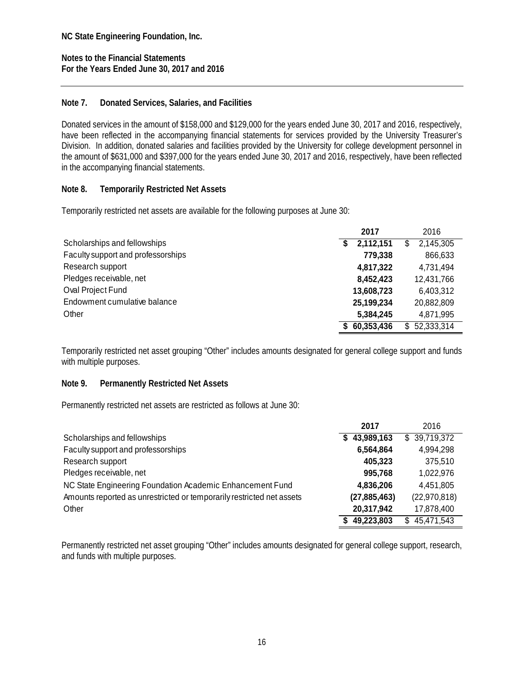**Notes to the Financial Statements For the Years Ended June 30, 2017 and 2016** 

### **Note 7. Donated Services, Salaries, and Facilities**

Donated services in the amount of \$158,000 and \$129,000 for the years ended June 30, 2017 and 2016, respectively, have been reflected in the accompanying financial statements for services provided by the University Treasurer's Division. In addition, donated salaries and facilities provided by the University for college development personnel in the amount of \$631,000 and \$397,000 for the years ended June 30, 2017 and 2016, respectively, have been reflected in the accompanying financial statements.

### **Note 8. Temporarily Restricted Net Assets**

Temporarily restricted net assets are available for the following purposes at June 30:

|                                    | 2017 |              |    | 2016       |
|------------------------------------|------|--------------|----|------------|
| Scholarships and fellowships       | S.   | 2,112,151    | \$ | 2,145,305  |
| Faculty support and professorships |      | 779,338      |    | 866,633    |
| Research support                   |      | 4,817,322    |    | 4,731,494  |
| Pledges receivable, net            |      | 8,452,423    |    | 12,431,766 |
| Oval Project Fund                  |      | 13,608,723   |    | 6,403,312  |
| Endowment cumulative balance       |      | 25, 199, 234 |    | 20,882,809 |
| Other                              |      | 5,384,245    |    | 4,871,995  |
|                                    |      | \$60,353,436 | S. | 52,333,314 |

Temporarily restricted net asset grouping "Other" includes amounts designated for general college support and funds with multiple purposes.

### **Note 9. Permanently Restricted Net Assets**

Permanently restricted net assets are restricted as follows at June 30:

|                                                                       | 2017           | 2016             |
|-----------------------------------------------------------------------|----------------|------------------|
| Scholarships and fellowships                                          | \$43,989,163   | \$39,719,372     |
| Faculty support and professorships                                    | 6,564,864      | 4,994,298        |
| Research support                                                      | 405,323        | 375,510          |
| Pledges receivable, net                                               | 995,768        | 1,022,976        |
| NC State Engineering Foundation Academic Enhancement Fund             | 4,836,206      | 4,451,805        |
| Amounts reported as unrestricted or temporarily restricted net assets | (27, 885, 463) | (22,970,818)     |
| Other                                                                 | 20,317,942     | 17,878,400       |
|                                                                       | 49,223,803     | 45,471,543<br>\$ |

Permanently restricted net asset grouping "Other" includes amounts designated for general college support, research, and funds with multiple purposes.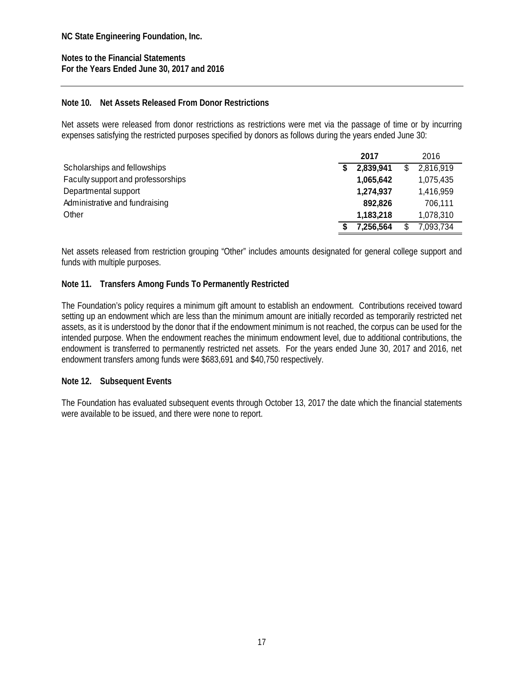**Notes to the Financial Statements For the Years Ended June 30, 2017 and 2016** 

### **Note 10. Net Assets Released From Donor Restrictions**

Net assets were released from donor restrictions as restrictions were met via the passage of time or by incurring expenses satisfying the restricted purposes specified by donors as follows during the years ended June 30:

|                                    | 2017      | 2016      |
|------------------------------------|-----------|-----------|
| Scholarships and fellowships       | 2,839,941 | 2,816,919 |
| Faculty support and professorships | 1,065,642 | 1,075,435 |
| Departmental support               | 1,274,937 | 1,416,959 |
| Administrative and fundraising     | 892,826   | 706,111   |
| Other                              | 1,183,218 | 1,078,310 |
|                                    | 7.256.564 | 7,093,734 |

Net assets released from restriction grouping "Other" includes amounts designated for general college support and funds with multiple purposes.

### **Note 11. Transfers Among Funds To Permanently Restricted**

The Foundation's policy requires a minimum gift amount to establish an endowment. Contributions received toward setting up an endowment which are less than the minimum amount are initially recorded as temporarily restricted net assets, as it is understood by the donor that if the endowment minimum is not reached, the corpus can be used for the intended purpose. When the endowment reaches the minimum endowment level, due to additional contributions, the endowment is transferred to permanently restricted net assets. For the years ended June 30, 2017 and 2016, net endowment transfers among funds were \$683,691 and \$40,750 respectively.

#### **Note 12. Subsequent Events**

The Foundation has evaluated subsequent events through October 13, 2017 the date which the financial statements were available to be issued, and there were none to report.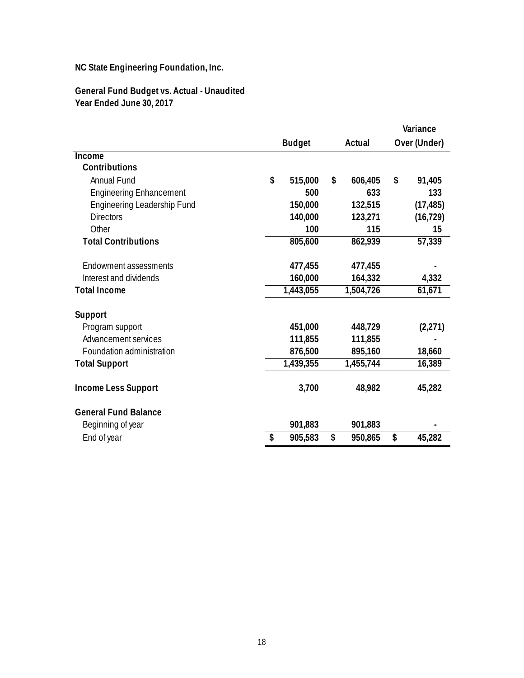### **General Fund Budget vs. Actual - Unaudited Year Ended June 30, 2017**

|                                    |    |               |    |           | Variance |              |  |
|------------------------------------|----|---------------|----|-----------|----------|--------------|--|
|                                    |    | <b>Budget</b> |    | Actual    |          | Over (Under) |  |
| Income                             |    |               |    |           |          |              |  |
| Contributions                      |    |               |    |           |          |              |  |
| <b>Annual Fund</b>                 | \$ | 515,000       | \$ | 606,405   | \$       | 91,405       |  |
| <b>Engineering Enhancement</b>     |    | 500           |    | 633       |          | 133          |  |
| <b>Engineering Leadership Fund</b> |    | 150,000       |    | 132,515   |          | (17, 485)    |  |
| <b>Directors</b>                   |    | 140,000       |    | 123,271   |          | (16, 729)    |  |
| Other                              |    | 100           |    | 115       |          | 15           |  |
| <b>Total Contributions</b>         |    | 805,600       |    | 862,939   |          | 57,339       |  |
|                                    |    |               |    |           |          |              |  |
| Endowment assessments              |    | 477,455       |    | 477,455   |          |              |  |
| Interest and dividends             |    | 160,000       |    | 164,332   |          | 4,332        |  |
| <b>Total Income</b>                |    | 1,443,055     |    | 1,504,726 |          | 61,671       |  |
|                                    |    |               |    |           |          |              |  |
| Support                            |    |               |    |           |          |              |  |
| Program support                    |    | 451,000       |    | 448,729   |          | (2,271)      |  |
| Advancement services               |    | 111,855       |    | 111,855   |          |              |  |
| Foundation administration          |    | 876,500       |    | 895,160   |          | 18,660       |  |
| <b>Total Support</b>               |    | 1,439,355     |    | 1,455,744 |          | 16,389       |  |
| <b>Income Less Support</b>         |    | 3,700         |    | 48,982    |          | 45,282       |  |
| <b>General Fund Balance</b>        |    |               |    |           |          |              |  |
| Beginning of year                  |    | 901,883       |    | 901,883   |          |              |  |
| End of year                        | \$ | 905,583       | \$ | 950,865   | \$       | 45,282       |  |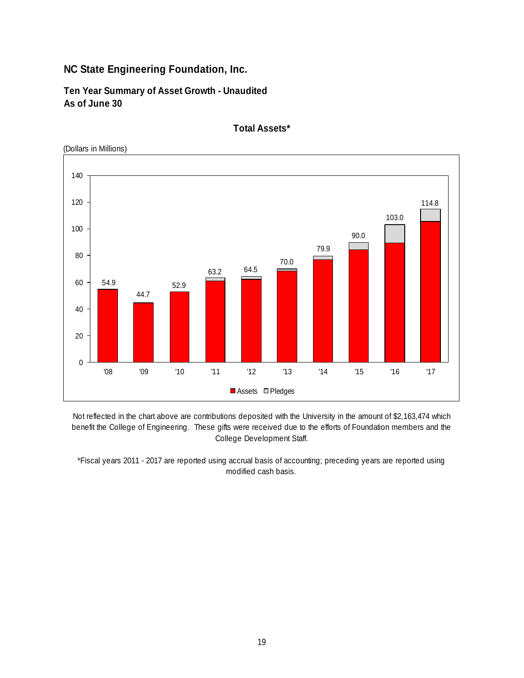**Ten Year Summary of Asset Growth - Unaudited As of June 30**



**Total Assets\***

Not reflected in the chart above are contributions deposited with the University in the amount of \$2,163,474 which benefit the College of Engineering. These gifts were received due to the efforts of Foundation members and the College Development Staff.

\*Fiscal years 2011 - 2017 are reported using accrual basis of accounting; preceding years are reported using modified cash basis.